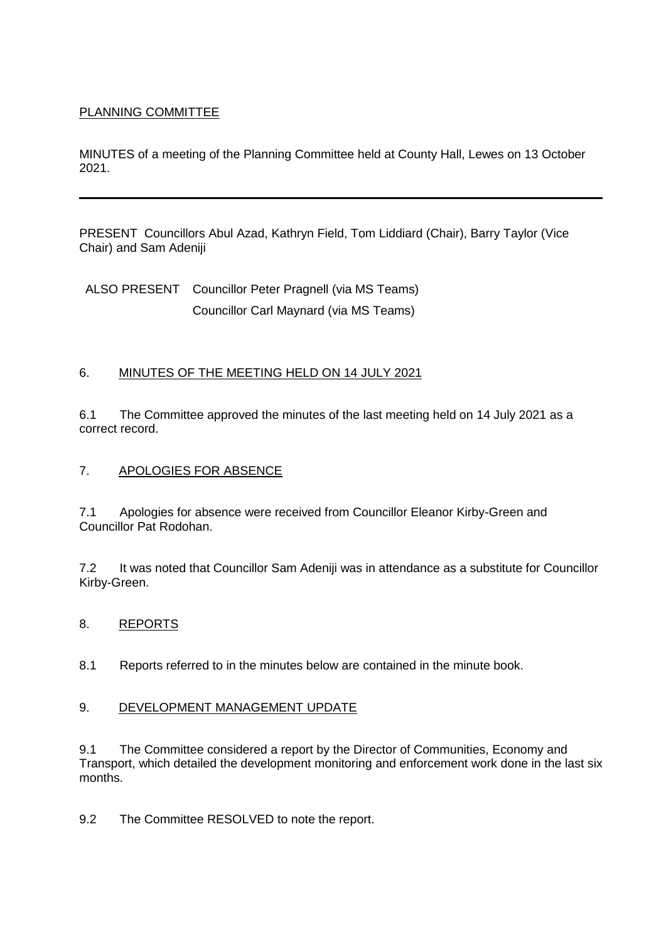# PLANNING COMMITTEE

MINUTES of a meeting of the Planning Committee held at County Hall, Lewes on 13 October 2021.

PRESENT Councillors Abul Azad, Kathryn Field, Tom Liddiard (Chair), Barry Taylor (Vice Chair) and Sam Adeniji

ALSO PRESENT Councillor Peter Pragnell (via MS Teams) Councillor Carl Maynard (via MS Teams)

## 6. MINUTES OF THE MEETING HELD ON 14 JULY 2021

6.1 The Committee approved the minutes of the last meeting held on 14 July 2021 as a correct record.

### 7. APOLOGIES FOR ABSENCE

7.1 Apologies for absence were received from Councillor Eleanor Kirby-Green and Councillor Pat Rodohan.

7.2 It was noted that Councillor Sam Adeniji was in attendance as a substitute for Councillor Kirby-Green.

#### 8. REPORTS

8.1 Reports referred to in the minutes below are contained in the minute book.

#### 9. DEVELOPMENT MANAGEMENT UPDATE

9.1 The Committee considered a report by the Director of Communities, Economy and Transport, which detailed the development monitoring and enforcement work done in the last six months.

9.2 The Committee RESOLVED to note the report.